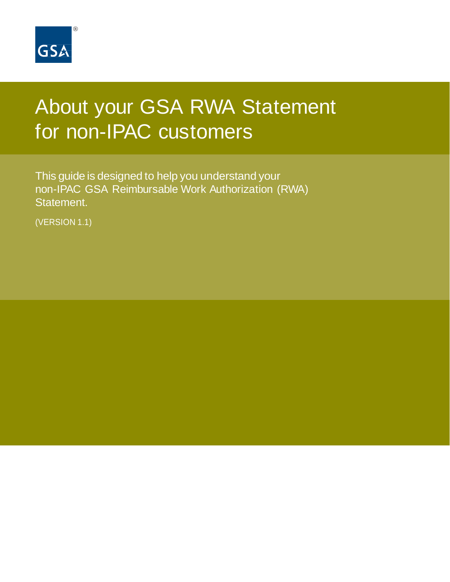

# About your GSA RWA Statement for non-IPAC customers

This guide is designed to help you understand your non-IPAC GSA Reimbursable Work Authorization (RWA) Statement.

(VERSION 1.1)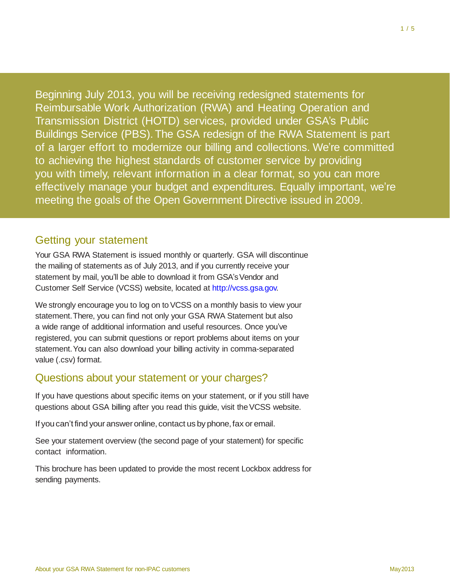Beginning July 2013, you will be receiving redesigned statements for Reimbursable Work Authorization (RWA) and Heating Operation and Transmission District (HOTD) services, provided under GSA's Public Buildings Service (PBS).The GSA redesign of the RWA Statement is part of a larger effort to modernize our billing and collections. We're committed to achieving the highest standards of customer service by providing you with timely, relevant information in a clear format, so you can more effectively manage your budget and expenditures. Equally important, we're meeting the goals of the Open Government Directive issued in 2009.

# Getting your statement

Your GSA RWA Statement is issued monthly or quarterly. GSA will discontinue the mailing of statements as of July 2013, and if you currently receive your statement by mail, you'll be able to download it from GSA's Vendor and Customer Self Service (VCSS) website, located at [http://vcss.gsa.gov.](http://vcss.gsa.gov/)

We strongly encourage you to log on to VCSS on a monthly basis to view your statement.There, you can find not only your GSA RWA Statement but also a wide range of additional information and useful resources. Once you've registered, you can submit questions or report problems about items on your statement.You can also download your billing activity in comma-separated value (.csv) format.

# Questions about your statement or your charges?

If you have questions about specific items on your statement, or if you still have questions about GSA billing after you read this guide, visit the VCSS website.

If you can't find your answer online, contact us by phone, fax or email.

See your statement overview (the second page of your statement) for specific contact information.

This brochure has been updated to provide the most recent Lockbox address for sending payments.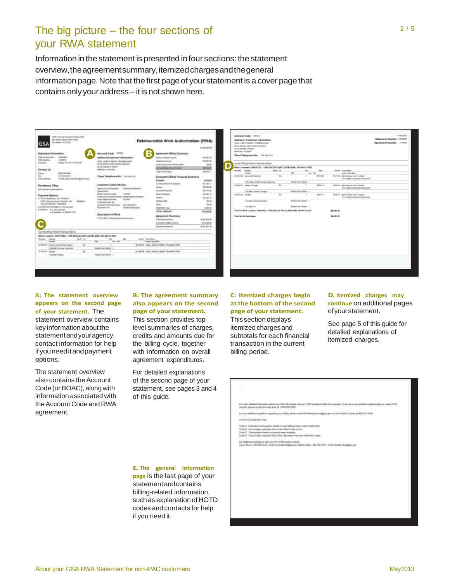# The big picture – the four sections of your RWA statement

Information in the statement is presented in four sections: the statement overview,theagreementsummary,itemizedchargesandthegeneral information page. Note that the first page of your statement is a cover page that contains only your address - it is not shown here.

| 154 Freedom Seconds Singer RCP<br>AT & Flagle Smaat Boom (Init)<br>For Now, 19 / 610.<br><b>GSA</b>                                                                                                                                                                                                                                                                                                                                                                                                                                                                                                    |                                                                                                                                                                                                                                                                                                                                                                                                                                                                                                                                                                                                                                                                                 | Reimbursable Work Authorization (RWA).                                                                                                                                                                                                                                                                                                                                                                                                                                                                                                            |                                                                                                                                                                                                                                                        | Account Code: HP655<br>Address / Customer Information<br>USES, EMPLOYMENT TRAINING M34                                                                                                                                                                                                                                                                                                                                                                                                                                                                                               |                                             |                                                                                                                                              |                                                      |                                                                                                                                                                                                                                                                                                     | sinissions.<br>Statement Munder, 3330081<br>Agreement Number: 1110111 |
|--------------------------------------------------------------------------------------------------------------------------------------------------------------------------------------------------------------------------------------------------------------------------------------------------------------------------------------------------------------------------------------------------------------------------------------------------------------------------------------------------------------------------------------------------------------------------------------------------------|---------------------------------------------------------------------------------------------------------------------------------------------------------------------------------------------------------------------------------------------------------------------------------------------------------------------------------------------------------------------------------------------------------------------------------------------------------------------------------------------------------------------------------------------------------------------------------------------------------------------------------------------------------------------------------|---------------------------------------------------------------------------------------------------------------------------------------------------------------------------------------------------------------------------------------------------------------------------------------------------------------------------------------------------------------------------------------------------------------------------------------------------------------------------------------------------------------------------------------------------|--------------------------------------------------------------------------------------------------------------------------------------------------------------------------------------------------------------------------------------------------------|--------------------------------------------------------------------------------------------------------------------------------------------------------------------------------------------------------------------------------------------------------------------------------------------------------------------------------------------------------------------------------------------------------------------------------------------------------------------------------------------------------------------------------------------------------------------------------------|---------------------------------------------|----------------------------------------------------------------------------------------------------------------------------------------------|------------------------------------------------------|-----------------------------------------------------------------------------------------------------------------------------------------------------------------------------------------------------------------------------------------------------------------------------------------------------|-----------------------------------------------------------------------|
| <b>Blakemant Information</b><br>NIGONAL<br>Guiappoint Municipal<br>ALBERTA<br><b>ESSIS SERVICE</b><br>Auture: 16, 3812 12:30 AM<br><b>Tax Date</b><br>Contact Us<br>44,436,566<br>Flasse.<br><b>GITANS BEET</b><br>Free:<br>FOLKLUND, RAWAY, TULK SAY<br><b>ShallAbbac</b><br><b>Remittación Office</b><br>San Paginert Gallors Batton<br><b><i><u>Payment Delives</u></i></b><br>11. MACHIMANING ALC 47850011<br>OBA Frequen Autosoft Synton, Ad1<br><b>SAARIEST</b><br>LTAL BEVALUATE 110101234<br>20 Check-Cove Membranov enteriors and<br>WASHINGT FOR BUILDING<br>Los knoples, CA 96281-2218<br>C | $\blacksquare$<br>Apparent Goda: 197111<br>×<br>Address/Castome/ tofarmation<br>VISOL, MARLO VISENT TRAINING ADM.<br>MAIN ROSAL ARE COMPA CONTER:<br>1819/10/04 17:08:1<br><b>BARON VALUES</b><br>Client Telephone No. : 201011111<br>Casterner Carles Backers<br>Agency Abbienting Red -<br><b>BEETERAAREETART</b><br>pleasinghood:<br><b>BOAC-Abolish cullet</b><br>104103<br>Treasury Ascounting Syndrom, 00000133711 B/Weeds<br>Flexion Analysis Accordiant<br><b>OFFARE</b><br>Date Area Links Mr.<br>Desperation Resolution Advertising<br><b>DESTRAYERS</b><br><b>Report Follows</b><br><b>EDITOR IPENJANIA</b><br>Description of Wars<br>PHILION Fanny Gerici Europette | Agreement Billing Summary<br>Freshing Billed Atlantic<br>Colorad Amount<br>meant the foll Fasting Blo-<br><b>Electrical British Filement Armount:</b><br><b>Total domand Cast</b><br><b>Camulative Brind Financial Sammery</b><br>Crimere<br>Contractor Corp. Support<br><b>Easter</b><br><b>November Process about</b><br><b>Sales Chicago</b><br><b>Studies</b><br>LittlewOAR<br><b>Lithan</b><br><b>Hild Wides Frank</b><br>TOTAL ABOUNT<br><b>Agreement Summery</b><br>Automakership<br><b>Curicipline Biked America</b><br>Agazement Batarow | EXUSION 15<br>33,485.25<br>33,884,784<br>\$5.00<br>1009027<br>80,000.03<br>Aissuit<br>37,436.41<br>T2-500-MK<br>\$1,244.00<br>31,380.16<br>01,304.04<br>30.00<br>\$9.00<br><b>MADOS</b><br>114, 138, 94<br><b>Britains</b><br>EV.108 BE<br>With Mr Ale | BEZE RESOLUCE CORPS CONTROL<br>Set for stARE STREET<br>MARON VA 26554<br>Client Telephone Mc. (14.16).1531<br>Current Billing Period Financial Activity<br>Work Langtier: OHD 6122 - 1360 EUCLID AVE CLEVELAND, OH 46115-1627<br><b>Real Sale: Collegebra</b><br>Function<br>STERFTS SHOULD PLOUDS<br>(1965) Beaut Entil Provident Gervinna<br>J/130213 Space Changes<br>(100 968 Roard Changes<br>Arthology Shaden<br>(Fül 967) (fuitbing Studies<br>(1981) 692<br>Total for Nices Legation: (Individual) - 1060 Block (ELANS (ILEVELANS), OR 44115-1827<br>Telal of all Bahilings: | ABOR 18<br><b>War</b><br>15%<br>Ele<br>il.h | <b>Low Folk</b><br><b>Parizin Not visions</b><br><b>IPANOLA AGO KABILINI</b><br>investment standard<br><b><i>Institute body cannotes</i></b> | <b>Falls</b><br>5575.86<br>5044.18<br><b>IDAA 78</b> | <b>Historical Counties Started</b><br>Area or free righter<br>5075-09 Nan-dropes-Junt: venture<br>FY 13 MEPODIA HODERIAANT<br><b>ENGINE TRANSFERING AND VERSION</b><br>FY 13 MEPCOM HODERS IAANT<br><b>EDMI TA NamJinoska Joint Venture</b><br>FY 12 MEPODIA HODERS HANNT<br>SE 880.31<br>38,650.31 |                                                                       |
| Current Stilling Portod Financial Adheirs                                                                                                                                                                                                                                                                                                                                                                                                                                                                                                                                                              |                                                                                                                                                                                                                                                                                                                                                                                                                                                                                                                                                                                                                                                                                 |                                                                                                                                                                                                                                                                                                                                                                                                                                                                                                                                                   |                                                                                                                                                                                                                                                        |                                                                                                                                                                                                                                                                                                                                                                                                                                                                                                                                                                                      |                                             |                                                                                                                                              |                                                      |                                                                                                                                                                                                                                                                                                     |                                                                       |
| Merk Location: DIRIVINGS - EMA KILOLID AVE SLEVELAND: OR WEEK-WIT<br>sale at<br>Nation Issued<br>Forders'<br><b>BYREET CONNUMATIVE FIAMS</b><br>38.<br>1 Hill Mile Primary European<br>14<br><b>SHARAKA Terrary</b><br>1 DOLARD's Demand                                                                                                                                                                                                                                                                                                                                                               | mount Inches Steel<br>$\sim$<br><b>PUM</b><br>115.199<br><b><i><u>STACLA COMPANY</u></i></b><br><b><i>INSURANCE CONTRACTOR</i></b><br>PASSE SILLIANA - 1                                                                                                                                                                                                                                                                                                                                                                                                                                                                                                                        | SLASS 42 LISS, CARS CYNERY TRAINING ACRE<br>41-846-64 1-855; FreeTLEY-MENT Telecomediation                                                                                                                                                                                                                                                                                                                                                                                                                                                        |                                                                                                                                                                                                                                                        |                                                                                                                                                                                                                                                                                                                                                                                                                                                                                                                                                                                      |                                             |                                                                                                                                              |                                                      |                                                                                                                                                                                                                                                                                                     |                                                                       |
|                                                                                                                                                                                                                                                                                                                                                                                                                                                                                                                                                                                                        |                                                                                                                                                                                                                                                                                                                                                                                                                                                                                                                                                                                                                                                                                 |                                                                                                                                                                                                                                                                                                                                                                                                                                                                                                                                                   |                                                                                                                                                                                                                                                        |                                                                                                                                                                                                                                                                                                                                                                                                                                                                                                                                                                                      |                                             |                                                                                                                                              |                                                      |                                                                                                                                                                                                                                                                                                     |                                                                       |

### **A: The statement overview appears on the second page of your statement.** The

statement overview contains key information about the statementandyouragency, contact information for help ifyouneeditandpayment options.

The statement overview also contains the Account Code (or BOAC), along with information associated with the Account Code and RWA agreement.

### **B: The agreement summary also appears on the second page of yourstatement.**

This section provides toplevel summaries of charges, credits and amounts due for the billing cycle, together with information on overall agreement expenditures.

For detailed explanations of the second page of your statement, see pages 3 and 4 of this guide.

## **C: Itemized charges begin at the bottom of the second page of yourstatement.**

Thissection displays itemized charges and subtotals for each financial transaction in the current billing period.

### **D. Itemized charges may continue** on additional pages ofyourstatement.

See page 5 of this guide for detailed explanations of itemized charges.

distinct enforcemental about your CEO MX phones can can VCEO a<br>component the basic design of 1,000 and 4000.

- For any editional goodness regarding proof being please the NOTE Extension Date:
- 
- 
- 

adh you 1977D Bill pinasar corbeti.<br>Dù, vesalt darich show@gipsi-per Starton Rikes, 202-686-0787, etnalt starton

### **E. The general information**

**page** is the last page of your statement and contains billing-related information, suchas explanation of HOTD codes and contacts for help if you need it.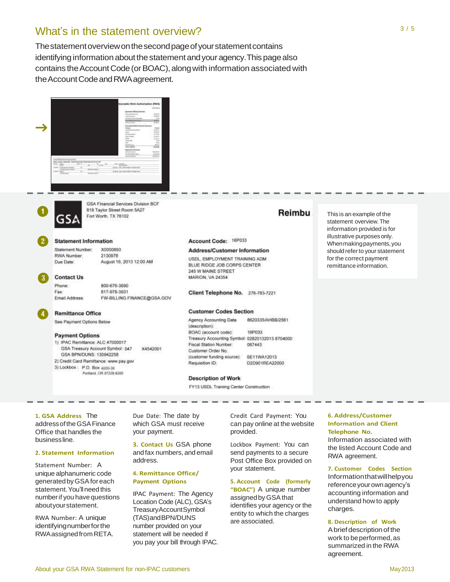# What's in the statement overview?

The statement overview on the second page of your statement contains identifying information about the statement and your agency. This page also contains the Account Code (or BOAC), along with information associated with theAccountCodeandRWAagreement.





GSA Financial Services Division BCF 819 Taylor Street Room 5A27 Fort Worth, TX 76102

# **Statement Information**

Statement Number: X0000893 RWA Number: 2130978 August 16, 2013 12:00 AM Due Date:

#### **Contact Us** Phone:

Fax

800-676-3690 817-978-3931 FW-BILLING FINANCE@GSA.GOV Email Address:

**Remittance Office** 

See Payment Options Below

#### **Payment Options**

1) IPAC Remittance: ALC 47000017 GSA Treasury Account Symbol: 047 X4542001 GSA BPN/DUNS: 130942258 2) Credit Card Remittance: www.pay.gov 3) Lockbox | P.O. Box 8200-30 Portland, OR 97228-6200

# Reimbu

Account Code: 16P033

### Address/Customer Information

USDL, EMPLOYMENT TRAINING ADM. BLUE RIDGE JOB CORPS CENTER 245 W MAINE STREET MARION, VA 24354

Client Telephone No. 276-783-7221

#### **Customer Codes Section**

8620335/AHBB/2561 Agency Accounting Data (description): BOAC (account code): 16P033 Treasury Accounting Symbol: 02820132013 8704000 Fiscal Station Number: 067443 Customer Order No. (customer funding source): SE11WA12013 Requisition ID: 02D901REA22000

#### **Description of Work**

FY13 USDL Training Center Construction

# **1. GSA Address** The addressoftheGSAFinance

Office that handles the businessline.

### **2. Statement Information**

Statement Number: A unique alphanumeric code generatedbyGSAfor each statement. You'll need this numberif you have questions aboutyourstatement.

RWA Number: A unique identifying numberfor the RWAassignedfromRETA. Due Date: The date by which GSA must receive your payment.

**3. Contact Us** GSA phone and fax numbers, and email address.

### **4. Remittance Office/ Payment Options**

IPAC Payment: The Agency Location Code (ALC), GSA's TreasuryAccountSymbol (TAS)andBPN/DUNS number provided on your statement will be needed if you pay your bill through IPAC.

Credit Card Payment: You can pay online at the website provided.

Lockbox Payment: You can send payments to a secure Post Office Box provided on your statement.

**5. Account Code (formerly "BOAC")** A unique number assignedbyGSAthat identifies your agency or the entity to which the charges are associated.

#### **6. Address/Customer Information and Client Telephone No.**

This is an example of the statement overview.The information provided is for illustrative purposes only. Whenmakingpayments,you should refer to your statement for the correct payment remittance information.

Information associated with the listed Account Code and RWA agreement.

#### **7. Customer Codes Section** Informationthatwillhelpyou

reference your own agency's accounting information and understand how to apply charges.

### **8. Description of Work**

A brief description of the work to be performed, as summarized in the RWA agreement.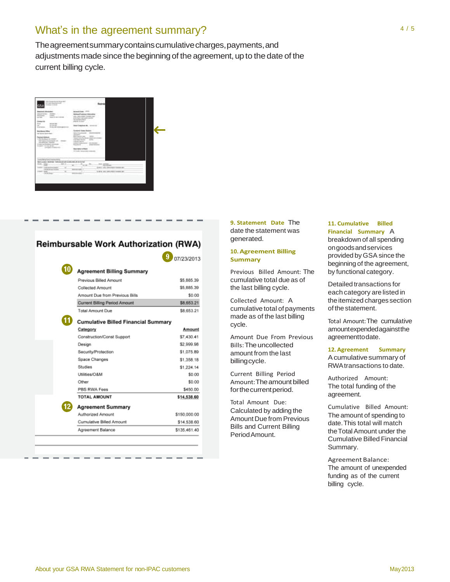# What's in the agreement summary?

The agreement summary contains cumulative charges, payments, and adjustments made since the beginning of the agreement, up to the date of the current billing cycle.



ľ

# Reimbursable Work Authorization (RWA)

|                                            | 07/23/2013   |
|--------------------------------------------|--------------|
| Agreement Billing Summary                  |              |
| Previous Billed Amount                     | \$5,885.39   |
| Collected Amount                           | \$5,885.39   |
| Amount Due from Previous Bills             | \$0.00       |
| Current Billing Period Amount              | \$8,653.21   |
| <b>Total Amount Due</b>                    | \$8,653.21   |
| <b>Cumulative Billed Financial Summary</b> |              |
| Category                                   | Amount       |
| Construction/Const Support                 | \$7,430.41   |
| Design                                     | \$2,999.96   |
| Security/Protection                        | \$1,075.89   |
| Space Changes                              | \$1,358.18   |
| Säudies                                    | \$1,224.14   |
| Utilities/O&M                              | \$0.00       |
| Other                                      | \$0.00       |
| PBS RWA Fees                               | \$450.00     |
| <b>TOTAL AMOUNT</b>                        | \$14,538.60  |
| <b>Agreement Summary</b>                   |              |
| Authorized Amount                          | \$150,000.00 |
| Cumulative Billed Amount                   | \$14,538.60  |
| Agreement Balance                          | \$135.461.40 |

**9. Statement Date** The date the statement was generated.

#### **10.Agreement Billing Summary**

Previous Billed Amount: The cumulative total due as of the last billing cycle.

Collected Amount: A cumulative total of payments made as of the last billing cycle.

Amount Due From Previous Bills: The uncollected amount from the last billingcycle.

Current Billing Period Amount: The amount billed forthecurrentperiod.

Total Amount Due: Calculated by adding the Amount Due from Previous Bills and Current Billing PeriodAmount.

### **11. Cumulative Billed Financial Summary** A

breakdown of all spending ongoodsandservices provided by GSA since the beginning of the agreement, by functional category.

Detailed transactions for each category are listed in the itemized charges section of the statement.

Total Amount:The cumulative amountexpendedagainstthe agreementtodate.

#### **12. Agreement Summary** Acumulativesummary of RWAtransactions to date.

Authorized Amount: The total funding of the agreement.

Cumulative Billed Amount: The amount of spending to date.This total will match theTotalAmount under the Cumulative Billed Financial Summary.

Agreement Balance: The amount of unexpended funding as of the current billing cycle.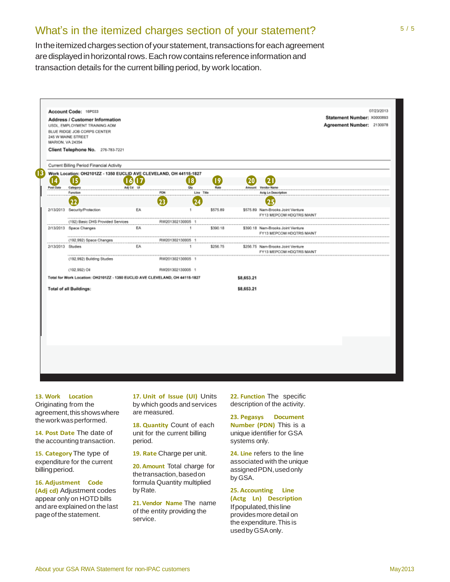# What's in the itemized charges section of your statement?

In the itemized charges section of your statement, transactions for each agreement are displayed in horizontal rows. Each row contains reference information and transaction details for the current billing period, by work location.



#### **13. Work Location**

Originating from the agreement, this shows where thework wasperformed.

**14. Post Date** The date of the accounting transaction.

**15. Category**The type of expenditure for the current billingperiod.

**16. Adjustment Code**

**(Adj cd)** Adjustment codes appear only on HOTD bills and are explained on the last pageof thestatement.

**17. Unit of Issue (UI)** Units by which goods and services are measured.

**18. Quantity** Count of each unit for the current billing period.

**19. Rate** Charge per unit.

**20. Amount** Total charge for the transaction, based on formula Quantity multiplied by Rate.

**21.Vendor Name** The name of the entity providing the service.

**22. Function** The specific description of the activity.

**23. Pegasys Document Number (PDN)** This is a unique identifier for GSA systems only.

**24. Line** refers to the line associated with the unique assigned PDN, used only by GSA.

**25. Accounting Line (Actg Ln) Description** Ifpopulated,thisline provides more detail on the expenditure.This is usedbyGSAonly.